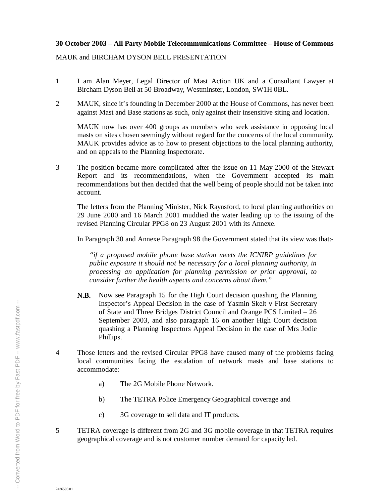## **30 October 2003 – All Party Mobile Telecommunications Committee – House of Commons**

MAUK and BIRCHAM DYSON BELL PRESENTATION

- 1 I am Alan Meyer, Legal Director of Mast Action UK and a Consultant Lawyer at Bircham Dyson Bell at 50 Broadway, Westminster, London, SW1H 0BL.
- 2 MAUK, since it's founding in December 2000 at the House of Commons, has never been against Mast and Base stations as such, only against their insensitive siting and location.

MAUK now has over 400 groups as members who seek assistance in opposing local masts on sites chosen seemingly without regard for the concerns of the local community. MAUK provides advice as to how to present objections to the local planning authority, and on appeals to the Planning Inspectorate.

3 The position became more complicated after the issue on 11 May 2000 of the Stewart Report and its recommendations, when the Government accepted its main recommendations but then decided that the well being of people should not be taken into account.

The letters from the Planning Minister, Nick Raynsford, to local planning authorities on 29 June 2000 and 16 March 2001 muddied the water leading up to the issuing of the revised Planning Circular PPG8 on 23 August 2001 with its Annexe.

In Paragraph 30 and Annexe Paragraph 98 the Government stated that its view was that:-

*"if a proposed mobile phone base station meets the ICNIRP guidelines for public exposure it should not be necessary for a local planning authority, in processing an application for planning permission or prior approval, to consider further the health aspects and concerns about them."*

- **N.B.** Now see Paragraph 15 for the High Court decision quashing the Planning Inspector's Appeal Decision in the case of Yasmin Skelt v First Secretary of State and Three Bridges District Council and Orange PCS Limited – 26 September 2003, and also paragraph 16 on another High Court decision quashing a Planning Inspectors Appeal Decision in the case of Mrs Jodie Phillips.
- 4 Those letters and the revised Circular PPG8 have caused many of the problems facing local communities facing the escalation of network masts and base stations to accommodate:
	- a) The 2G Mobile Phone Network.
	- b) The TETRA Police Emergency Geographical coverage and
	- c) 3G coverage to sell data and IT products.
- 5 TETRA coverage is different from 2G and 3G mobile coverage in that TETRA requires geographical coverage and is not customer number demand for capacity led.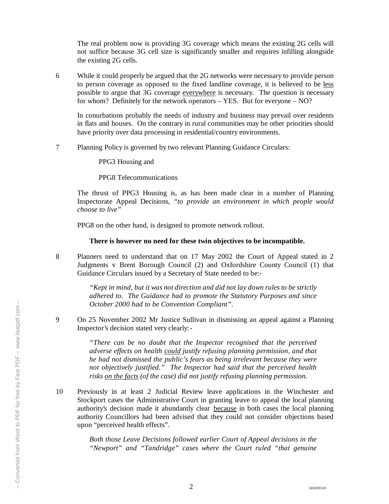The real problem now is providing 3G coverage which means the existing 2G cells will not suffice because 3G cell size is significantly smaller and requires infilling alongside the existing 2G cells.

6 While it could properly be argued that the 2G networks were necessary to provide person to person coverage as opposed to the fixed landline coverage, it is believed to be less possible to argue that 3G coverage everywhere is necessary. The question is necessary for whom? Definitely for the network operators – YES. But for everyone – NO?

In conurbations probably the needs of industry and business may prevail over residents in flats and houses. On the contrary in rural communities may be other priorities should have priority over data processing in residential/country environments.

7 Planning Policy is governed by two relevant Planning Guidance Circulars:

PPG3 Housing and

PPG8 Telecommunications

The thrust of PPG3 Housing is, as has been made clear in a number of Planning Inspectorate Appeal Decisions, *"to provide an environment in which people would choose to live"*

PPG8 on the other hand, is designed to promote network rollout.

## **There is however no need for these twin objectives to be incompatible.**

8 Planners need to understand that on 17 May 2002 the Court of Appeal stated in 2 Judgments v Brent Borough Council (2) and Oxfordshire County Council (1) that Guidance Circulars issued by a Secretary of State needed to be:-

> *"Kept in mind, but it was not direction and did not lay down rules to be strictly adhered to. The Guidance had to promote the Statutory Purposes and since October 2000 had to be Convention Compliant".*

9 On 25 November 2002 Mr Justice Sullivan in dismissing an appeal against a Planning Inspector's decision stated very clearly:-

> *"There can be no doubt that the Inspector recognised that the perceived adverse effects on health could justify refusing planning permission, and that he had not dismissed the public's fears as being irrelevant because they were not objectively justified." The Inspector had said that the perceived health risks on the facts (of the case) did not justify refusing planning permission.*

10 Previously in at least 2 Judicial Review leave applications in the Winchester and Stockport cases the Administrative Court in granting leave to appeal the local planning authority's decision made it abundantly clear because in both cases the local planning authority Councillors had been advised that they could not consider objections based upon "perceived health effects".

> *Both those Leave Decisions followed earlier Court of Appeal decisions in the "Newport" and "Tandridge" cases where the Court ruled "that genuine*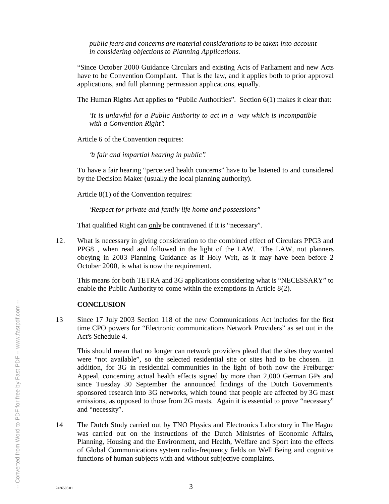*public fears and concerns are material considerations to be taken into account in considering objections to Planning Applications.*

"Since October 2000 Guidance Circulars and existing Acts of Parliament and new Acts have to be Convention Compliant. That is the law, and it applies both to prior approval applications, and full planning permission applications, equally.

The Human Rights Act applies to "Public Authorities". Section 6(1) makes it clear that:

*"It is unlawful for a Public Authority to act in a way which is incompatible with a Convention Right".*

Article 6 of the Convention requires:

*"a fair and impartial hearing in public".*

To have a fair hearing "perceived health concerns" have to be listened to and considered by the Decision Maker (usually the local planning authority).

Article 8(1) of the Convention requires:

*"Respect for private and family life home and possessions"*

That qualified Right can only be contravened if it is "necessary".

12. What is necessary in giving consideration to the combined effect of Circulars PPG3 and PPG8 , when read and followed in the light of the LAW. The LAW, not planners obeying in 2003 Planning Guidance as if Holy Writ, as it may have been before 2 October 2000, is what is now the requirement.

This means for both TETRA and 3G applications considering what is "NECESSARY" to enable the Public Authority to come within the exemptions in Article 8(2).

## **CONCLUSION**

13 Since 17 July 2003 Section 118 of the new Communications Act includes for the first time CPO powers for "Electronic communications Network Providers" as set out in the Act's Schedule 4.

This should mean that no longer can network providers plead that the sites they wanted were "not available", so the selected residential site or sites had to be chosen. In addition, for 3G in residential communities in the light of both now the Freiburger Appeal, concerning actual health effects signed by more than 2,000 German GPs and since Tuesday 30 September the announced findings of the Dutch Government's sponsored research into 3G networks, which found that people are affected by 3G mast emissions, as opposed to those from 2G masts. Again it is essential to prove "necessary" and "necessity".

14 The Dutch Study carried out by TNO Physics and Electronics Laboratory in The Hague was carried out on the instructions of the Dutch Ministries of Economic Affairs, Planning, Housing and the Environment, and Health, Welfare and Sport into the effects of Global Communications system radio-frequency fields on Well Being and cognitive functions of human subjects with and without subjective complaints.